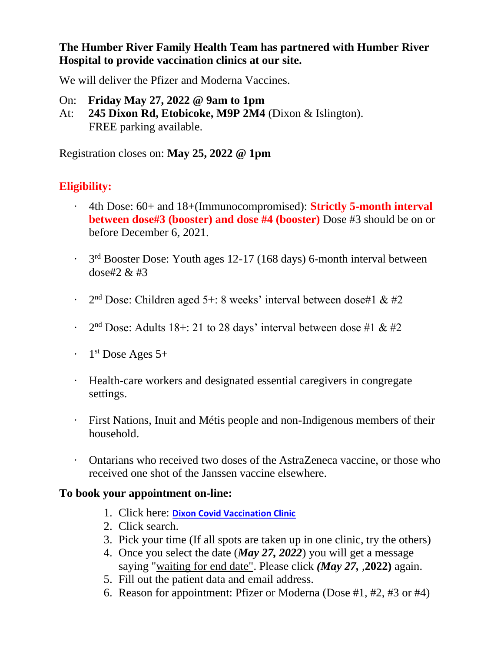**The Humber River Family Health Team has partnered with Humber River Hospital to provide vaccination clinics at our site.**

We will deliver the Pfizer and Moderna Vaccines.

- On: **Friday May 27, 2022 @ 9am to 1pm**
- At: **245 Dixon Rd, Etobicoke, M9P 2M4** (Dixon & Islington). FREE parking available.

Registration closes on: **May 25, 2022 @ 1pm**

# **Eligibility:**

- · 4th Dose: 60+ and 18+(Immunocompromised): **Strictly 5-month interval between dose#3 (booster) and dose #4 (booster)** Dose #3 should be on or before December 6, 2021.
- $\cdot$  3<sup>rd</sup> Booster Dose: Youth ages 12-17 (168 days) 6-month interval between dose#2 & #3
- $\cdot$  2<sup>nd</sup> Dose: Children aged 5+: 8 weeks' interval between dose#1 & #2
- $\cdot$  2<sup>nd</sup> Dose: Adults 18+: 21 to 28 days' interval between dose #1 & #2
- $\cdot$  1<sup>st</sup> Dose Ages 5+
- · Health-care workers and designated essential caregivers in congregate settings.
- · First Nations, Inuit and Métis people and non-Indigenous members of their household.
- · Ontarians who received two doses of the AstraZeneca vaccine, or those who received one shot of the Janssen vaccine elsewhere.

### **To book your appointment on-line:**

- 1. Click here: **[Dixon Covid Vaccination Clinic](https://portal.indivicare.ca/b/humberdixon)**
- 2. Click search.
- 3. Pick your time (If all spots are taken up in one clinic, try the others)
- 4. Once you select the date (*May 27, 2022*) you will get a message saying "waiting for end date". Please click *(May 27,* ,**2022)** again.
- 5. Fill out the patient data and email address.
- 6. Reason for appointment: Pfizer or Moderna (Dose #1, #2, #3 or #4)